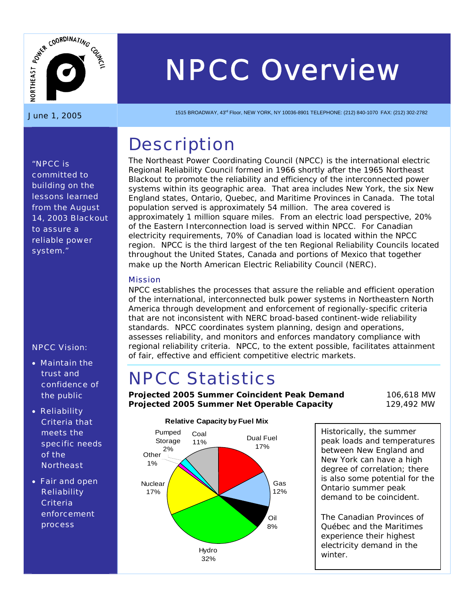

# *NPCC Overview*   $\sum_{\frac{15}{2}}$  **MPCC Overview**<br>June 1, 2005

## **Description**

The Northeast Power Coordinating Council (NPCC) is the international electric Regional Reliability Council formed in 1966 shortly after the 1965 Northeast Blackout to promote the reliability and efficiency of the interconnected power systems within its geographic area. That area includes New York, the six New England states, Ontario, Quebec, and Maritime Provinces in Canada. The total population served is approximately 54 million. The area covered is approximately 1 million square miles. From an electric load perspective, 20% of the Eastern Interconnection load is served within NPCC. For Canadian electricity requirements, 70% of Canadian load is located within the NPCC region. NPCC is the third largest of the ten Regional Reliability Councils located throughout the United States, Canada and portions of Mexico that together make up the North American Electric Reliability Council (NERC).

#### Mission

NPCC establishes the processes that assure the reliable and efficient operation of the international, interconnected bulk power systems in Northeastern North America through development and enforcement of regionally-specific criteria that are not inconsistent with NERC broad-based continent-wide reliability standards. NPCC coordinates system planning, design and operations, assesses reliability, and monitors and enforces mandatory compliance with regional reliability criteria. NPCC, to the extent possible, facilitates attainment of fair, effective and efficient competitive electric markets.

# NPCC Statistics

**Projected 2005 Summer Coincident Peak Demand** 106,618 MW **Projected 2005 Summer Net Operable Capacity** 129,492 MW



## **Relative Capacity by Fuel Mix**

Historically, the summer peak loads and temperatures between New England and New York can have a high degree of correlation; there is also some potential for the Ontario summer peak demand to be coincident.

The Canadian Provinces of Québec and the Maritimes experience their highest electricity demand in the winter.

*"NPCC is committed to building on the lessons learned from the August 14, 2003 Blackout to assure a reliable power system."* 

#### NPCC Vision:

- Maintain the trust and confidence of the public
- Reliability Criteria that meets the specific needs of the **Northeast**
- Fair and open **Reliability Criteria** enforcement process